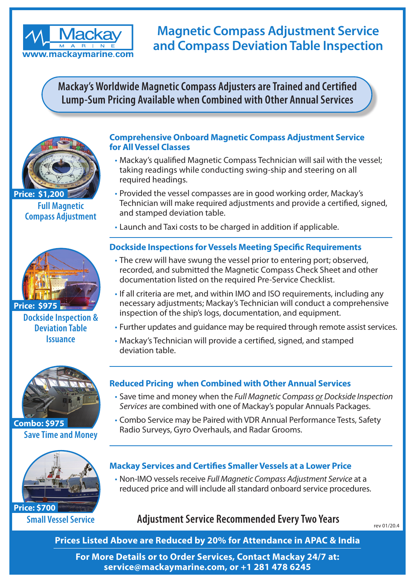

# **Magnetic Compass Adjustment Service and Compass Deviation Table Inspection**

**Mackay's Worldwide Magnetic Compass Adjusters are Trained and Certified Lump-Sum Pricing Available when Combined with Other Annual Services**



**Full Magnetic Compass Adjustment Price: \$1,200** 



**Dockside Inspection & Deviation Table Issuance**



**Save Time and Money Combo: \$975**



**Small Vessel Service Price: \$700**

#### **Comprehensive Onboard Magnetic Compass Adjustment Service for All Vessel Classes**

- Mackay's qualified Magnetic Compass Technician will sail with the vessel; taking readings while conducting swing-ship and steering on all required headings.
- Provided the vessel compasses are in good working order, Mackay's Technician will make required adjustments and provide a certified, signed, and stamped deviation table.
- Launch and Taxi costs to be charged in addition if applicable.

### **Dockside Inspections for Vessels Meeting Specific Requirements**

- The crew will have swung the vessel prior to entering port; observed, recorded, and submitted the Magnetic Compass Check Sheet and other documentation listed on the required Pre-Service Checklist.
- If all criteria are met, and within IMO and ISO requirements, including any necessary adjustments; Mackay's Technician will conduct a comprehensive inspection of the ship's logs, documentation, and equipment.
- Further updates and guidance may be required through remote assist services.
- Mackay's Technician will provide a certified, signed, and stamped deviation table.

### **Reduced Pricing when Combined with Other Annual Services**

- Save time and money when the *Full Magnetic Compass or Dockside Inspection Services* are combined with one of Mackay's popular Annuals Packages.
- Combo Service may be Paired with VDR Annual Performance Tests, Safety Radio Surveys, Gyro Overhauls, and Radar Grooms.

### **Mackay Services and Certifies Smaller Vessels at a Lower Price**

• Non-IMO vessels receive *Full Magnetic Compass Adjustment Service* at a reduced price and will include all standard onboard service procedures.

## Adjustment Service Recommended Every Two Years **Report 2014**

**Prices Listed Above are Reduced by 20% for Attendance in APAC & India** 

**For More Details or to Order Services, Contact Mackay 24/7 at: service@mackaymarine.com, or +1 281 478 6245**